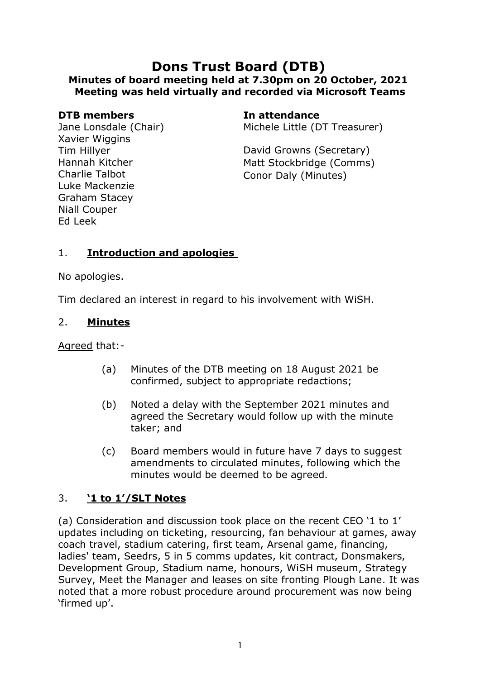# **Dons Trust Board (DTB) Minutes of board meeting held at 7.30pm on 20 October, 2021 Meeting was held virtually and recorded via Microsoft Teams**

#### **DTB members In attendance**

Jane Lonsdale (Chair) Xavier Wiggins Tim Hillyer Hannah Kitcher Charlie Talbot Luke Mackenzie Graham Stacey Niall Couper Ed Leek

Michele Little (DT Treasurer)

David Growns (Secretary) Matt Stockbridge (Comms) Conor Daly (Minutes)

# 1. **Introduction and apologies**

No apologies.

Tim declared an interest in regard to his involvement with WiSH.

#### 2. **Minutes**

Agreed that:-

- (a) Minutes of the DTB meeting on 18 August 2021 be confirmed, subject to appropriate redactions;
- (b) Noted a delay with the September 2021 minutes and agreed the Secretary would follow up with the minute taker; and
- (c) Board members would in future have 7 days to suggest amendments to circulated minutes, following which the minutes would be deemed to be agreed.

# 3. **'1 to 1'/SLT Notes**

(a) Consideration and discussion took place on the recent CEO '1 to 1' updates including on ticketing, resourcing, fan behaviour at games, away coach travel, stadium catering, first team, Arsenal game, financing, ladies' team, Seedrs, 5 in 5 comms updates, kit contract, Donsmakers, Development Group, Stadium name, honours, WiSH museum, Strategy Survey, Meet the Manager and leases on site fronting Plough Lane. It was noted that a more robust procedure around procurement was now being 'firmed up'.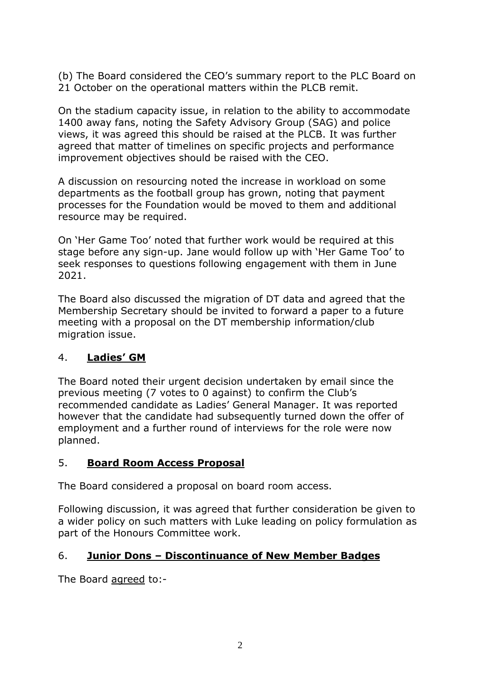(b) The Board considered the CEO's summary report to the PLC Board on 21 October on the operational matters within the PLCB remit.

On the stadium capacity issue, in relation to the ability to accommodate 1400 away fans, noting the Safety Advisory Group (SAG) and police views, it was agreed this should be raised at the PLCB. It was further agreed that matter of timelines on specific projects and performance improvement objectives should be raised with the CEO.

A discussion on resourcing noted the increase in workload on some departments as the football group has grown, noting that payment processes for the Foundation would be moved to them and additional resource may be required.

On 'Her Game Too' noted that further work would be required at this stage before any sign-up. Jane would follow up with 'Her Game Too' to seek responses to questions following engagement with them in June 2021.

The Board also discussed the migration of DT data and agreed that the Membership Secretary should be invited to forward a paper to a future meeting with a proposal on the DT membership information/club migration issue.

### 4. **Ladies' GM**

The Board noted their urgent decision undertaken by email since the previous meeting (7 votes to 0 against) to confirm the Club's recommended candidate as Ladies' General Manager. It was reported however that the candidate had subsequently turned down the offer of employment and a further round of interviews for the role were now planned.

### 5. **Board Room Access Proposal**

The Board considered a proposal on board room access.

Following discussion, it was agreed that further consideration be given to a wider policy on such matters with Luke leading on policy formulation as part of the Honours Committee work.

### 6. **Junior Dons – Discontinuance of New Member Badges**

The Board agreed to:-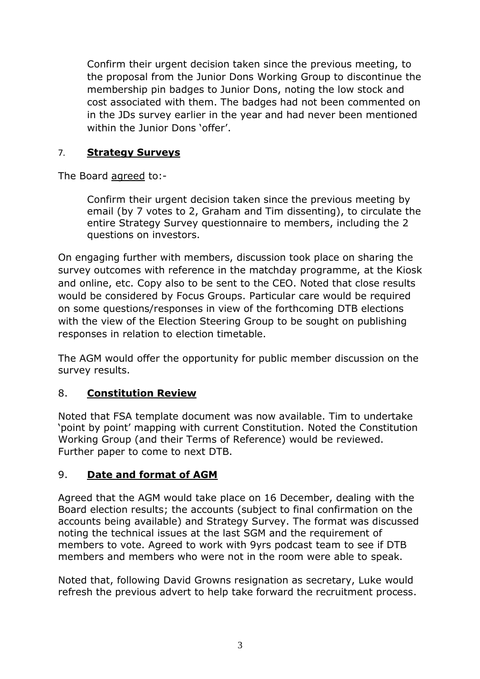Confirm their urgent decision taken since the previous meeting, to the proposal from the Junior Dons Working Group to discontinue the membership pin badges to Junior Dons, noting the low stock and cost associated with them. The badges had not been commented on in the JDs survey earlier in the year and had never been mentioned within the Junior Dons 'offer'.

#### 7. **Strategy Surveys**

The Board agreed to:-

Confirm their urgent decision taken since the previous meeting by email (by 7 votes to 2, Graham and Tim dissenting), to circulate the entire Strategy Survey questionnaire to members, including the 2 questions on investors.

On engaging further with members, discussion took place on sharing the survey outcomes with reference in the matchday programme, at the Kiosk and online, etc. Copy also to be sent to the CEO. Noted that close results would be considered by Focus Groups. Particular care would be required on some questions/responses in view of the forthcoming DTB elections with the view of the Election Steering Group to be sought on publishing responses in relation to election timetable.

The AGM would offer the opportunity for public member discussion on the survey results.

### 8. **Constitution Review**

Noted that FSA template document was now available. Tim to undertake 'point by point' mapping with current Constitution. Noted the Constitution Working Group (and their Terms of Reference) would be reviewed. Further paper to come to next DTB.

### 9. **Date and format of AGM**

Agreed that the AGM would take place on 16 December, dealing with the Board election results; the accounts (subject to final confirmation on the accounts being available) and Strategy Survey. The format was discussed noting the technical issues at the last SGM and the requirement of members to vote. Agreed to work with 9yrs podcast team to see if DTB members and members who were not in the room were able to speak.

Noted that, following David Growns resignation as secretary, Luke would refresh the previous advert to help take forward the recruitment process.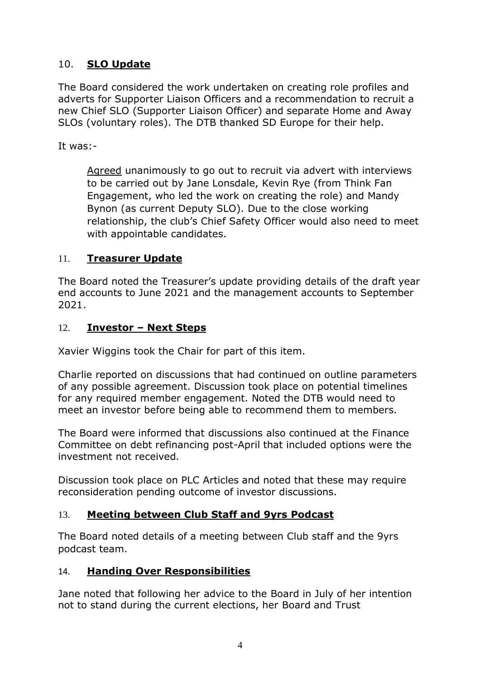# 10. **SLO Update**

The Board considered the work undertaken on creating role profiles and adverts for Supporter Liaison Officers and a recommendation to recruit a new Chief SLO (Supporter Liaison Officer) and separate Home and Away SLOs (voluntary roles). The DTB thanked SD Europe for their help.

It was:-

Agreed unanimously to go out to recruit via advert with interviews to be carried out by Jane Lonsdale, Kevin Rye (from Think Fan Engagement, who led the work on creating the role) and Mandy Bynon (as current Deputy SLO). Due to the close working relationship, the club's Chief Safety Officer would also need to meet with appointable candidates.

### 11. **Treasurer Update**

The Board noted the Treasurer's update providing details of the draft year end accounts to June 2021 and the management accounts to September 2021.

# 12. **Investor – Next Steps**

Xavier Wiggins took the Chair for part of this item.

Charlie reported on discussions that had continued on outline parameters of any possible agreement. Discussion took place on potential timelines for any required member engagement. Noted the DTB would need to meet an investor before being able to recommend them to members.

The Board were informed that discussions also continued at the Finance Committee on debt refinancing post-April that included options were the investment not received.

Discussion took place on PLC Articles and noted that these may require reconsideration pending outcome of investor discussions.

### 13. **Meeting between Club Staff and 9yrs Podcast**

The Board noted details of a meeting between Club staff and the 9yrs podcast team.

### 14. **Handing Over Responsibilities**

Jane noted that following her advice to the Board in July of her intention not to stand during the current elections, her Board and Trust